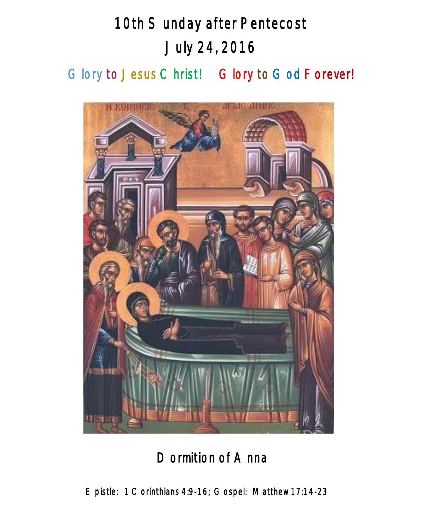# 10th Sunday after Pentecost July 24, 2016

Glory to Jesus Christ! Glory to God Forever!



Dormition of Anna

Epistle: 1 Corinthians 4:9-16; Gospel: Matthew 17:14-23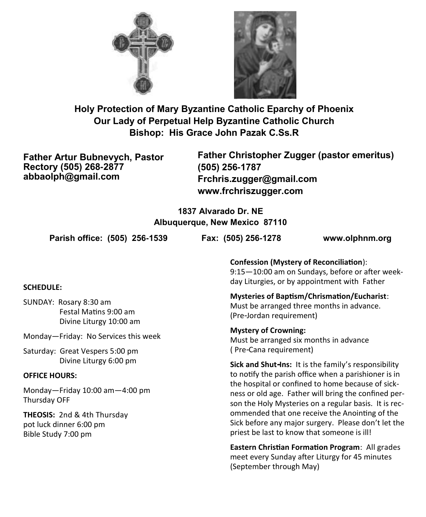



**Holy Protection of Mary Byzantine Catholic Eparchy of Phoenix Our Lady of Perpetual Help Byzantine Catholic Church Bishop: His Grace John Pazak C.Ss.R**

**Father Artur Bubnevych, Pastor Rectory (505) 268-2877 abbaolph@gmail.com**

**Father Christopher Zugger (pastor emeritus) (505) 256-1787 Frchris.zugger@gmail.com www.frchriszugger.com** 

**1837 Alvarado Dr. NE Albuquerque, New Mexico 87110**

**Parish office: (505) 256-1539 Fax: (505) 256-1278 www.olphnm.org**

## **SCHEDULE:**

SUNDAY: Rosary 8:30 am Festal Matins 9:00 am Divine Liturgy 10:00 am

Monday—Friday: No Services this week

Saturday: Great Vespers 5:00 pm Divine Liturgy 6:00 pm

#### **OFFICE HOURS:**

Monday—Friday 10:00 am—4:00 pm Thursday OFF

**THEOSIS:** 2nd & 4th Thursday pot luck dinner 6:00 pm Bible Study 7:00 pm

**Confession (Mystery of Reconciliation**): 9:15—10:00 am on Sundays, before or after weekday Liturgies, or by appointment with Father

**Mysteries of Baptism/Chrismation/Eucharist**: Must be arranged three months in advance. (Pre-Jordan requirement)

**Mystery of Crowning:**  Must be arranged six months in advance ( Pre-Cana requirement)

**Sick and Shut-Ins:** It is the family's responsibility to notify the parish office when a parishioner is in the hospital or confined to home because of sickness or old age. Father will bring the confined person the Holy Mysteries on a regular basis. It is recommended that one receive the Anointing of the Sick before any major surgery. Please don't let the priest be last to know that someone is ill!

**Eastern Christian Formation Program**: All grades meet every Sunday after Liturgy for 45 minutes (September through May)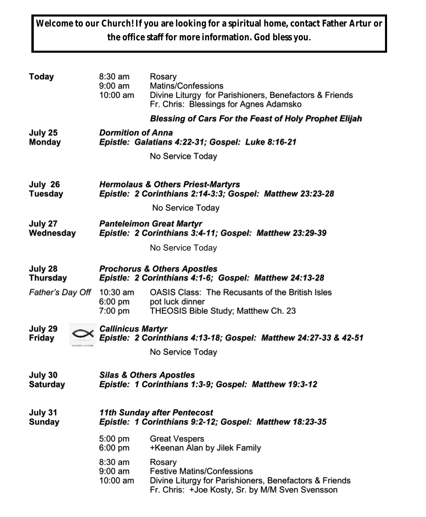**Welcome to our Church! If you are looking for a spiritual home, contact Father Artur or the office staff for more information. God bless you.**

| <b>Today</b>               | 8:30 am<br>9:00 am<br>10:00 am                                                                            | Rosary<br>Matins/Confessions<br>Divine Liturgy for Parishioners, Benefactors & Friends<br>Fr. Chris: Blessings for Agnes Adamsko                         |
|----------------------------|-----------------------------------------------------------------------------------------------------------|----------------------------------------------------------------------------------------------------------------------------------------------------------|
|                            |                                                                                                           | <b>Blessing of Cars For the Feast of Holy Prophet Elijah</b>                                                                                             |
| July 25<br><b>Monday</b>   | <b>Dormition of Anna</b><br>Epistle: Galatians 4:22-31; Gospel: Luke 8:16-21                              |                                                                                                                                                          |
|                            |                                                                                                           | No Service Today                                                                                                                                         |
| July 26<br><b>Tuesday</b>  | <b>Hermolaus &amp; Others Priest-Martyrs</b><br>Epistle: 2 Corinthians 2:14-3:3; Gospel: Matthew 23:23-28 |                                                                                                                                                          |
|                            |                                                                                                           | No Service Today                                                                                                                                         |
| July 27<br>Wednesday       | <b>Panteleimon Great Martyr</b><br>Epistle: 2 Corinthians 3:4-11; Gospel: Matthew 23:29-39                |                                                                                                                                                          |
|                            |                                                                                                           | No Service Today                                                                                                                                         |
| July 28<br><b>Thursday</b> | <b>Prochorus &amp; Others Apostles</b><br>Epistle: 2 Corinthians 4:1-6; Gospel: Matthew 24:13-28          |                                                                                                                                                          |
| Father's Day Off           | 10:30 am<br>$6:00$ pm<br>7:00 pm                                                                          | OASIS Class: The Recusants of the British Isles<br>pot luck dinner<br>THEOSIS Bible Study; Matthew Ch. 23                                                |
| July 29<br><b>Friday</b>   | <b>Callinicus Martyr</b><br>Epistle: 2 Corinthians 4:13-18; Gospel: Matthew 24:27-33 & 42-51              |                                                                                                                                                          |
|                            |                                                                                                           | No Service Today                                                                                                                                         |
| July 30<br><b>Saturday</b> | <b>Silas &amp; Others Apostles</b><br>Epistle: 1 Corinthians 1:3-9; Gospel: Matthew 19:3-12               |                                                                                                                                                          |
| July 31<br><b>Sunday</b>   | <b>11th Sunday after Pentecost</b><br>Epistle: 1 Corinthians 9:2-12; Gospel: Matthew 18:23-35             |                                                                                                                                                          |
|                            | 5:00 pm<br>6:00 pm                                                                                        | <b>Great Vespers</b><br>+Keenan Alan by Jilek Family                                                                                                     |
|                            | 8:30 am<br>$9:00$ am<br>10:00 am                                                                          | Rosary<br><b>Festive Matins/Confessions</b><br>Divine Liturgy for Parishioners, Benefactors & Friends<br>Fr. Chris: +Joe Kosty, Sr. by M/M Sven Svensson |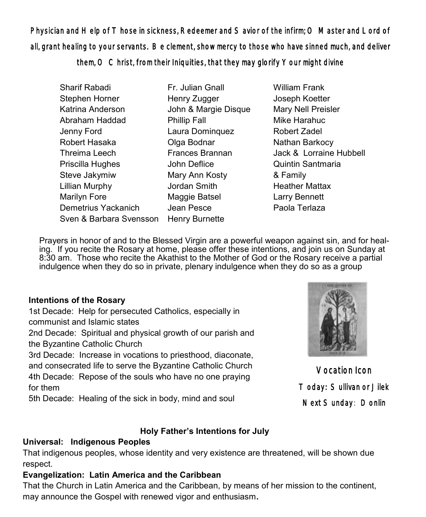Physician and Help of Those in sickness, Redeemer and Savior of the infirm; O Master and Lord of all, grant healing to your servants. Be clement, show mercy to those who have sinned much, and deliver

them, O Christ, from their Iniquities, that they may glorify Your might divine

- Sharif Rabadi Stephen Horner Katrina Anderson Abraham Haddad Jenny Ford Robert Hasaka Threima Leech Priscilla Hughes Steve Jakymiw Lillian Murphy Marilyn Fore Demetrius Yackanich Sven & Barbara Svensson Henry Burnette Fr. Julian Gnall Henry Zugger John & Margie Disque Phillip Fall Laura Dominquez Olga Bodnar Frances Brannan John Deflice Mary Ann Kosty Jordan Smith Maggie Batsel Jean Pesce
- William Frank Joseph Koetter Mary Nell Preisler Mike Harahuc Robert Zadel Nathan Barkocy Jack & Lorraine Hubbell Quintin Santmaria & Family Heather Mattax Larry Bennett Paola Terlaza

 Prayers in honor of and to the Blessed Virgin are a powerful weapon against sin, and for healing. If you recite the Rosary at home, please offer these intentions, and join us on Sunday at 8:30 am. Those who recite the Akathist to the Mother of God or the Rosary receive a partial indulgence when they do so in private, plenary indulgence when they do so as a group

# **Intentions of the Rosary**

1st Decade: Help for persecuted Catholics, especially in communist and Islamic states

2nd Decade: Spiritual and physical growth of our parish and the Byzantine Catholic Church

3rd Decade: Increase in vocations to priesthood, diaconate, and consecrated life to serve the Byzantine Catholic Church 4th Decade: Repose of the souls who have no one praying for them

5th Decade: Healing of the sick in body, mind and soul

# **Holy Father's Intentions for July**

# **Universal: Indigenous Peoples**

That indigenous peoples, whose identity and very existence are threatened, will be shown due respect.

# **Evangelization: Latin America and the Caribbean**

That the Church in Latin America and the Caribbean, by means of her mission to the continent, may announce the Gospel with renewed vigor and enthusiasm**.**



Vocation Icon Today: Sullivan or Jilek Next Sunday: Donlin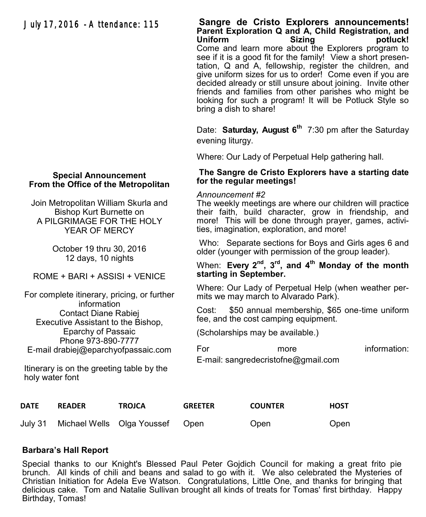# July 17, 2016 - Attendance: 115

#### **Sangre de Cristo Explorers announcements! Parent Exploration Q and A, Child Registration, and potluck!** Come and learn more about the Explorers program to see if it is a good fit for the family! View a short presentation, Q and A, fellowship, register the children, and give uniform sizes for us to order! Come even if you are decided already or still unsure about joining. Invite other friends and families from other parishes who might be looking for such a program! It will be Potluck Style so bring a dish to share!

Date: **Saturday, August 6th** 7:30 pm after the Saturday evening liturgy.

Where: Our Lady of Perpetual Help gathering hall.

#### **The Sangre de Cristo Explorers have a starting date for the regular meetings!**

#### *Announcement #2*

The weekly meetings are where our children will practice their faith, build character, grow in friendship, and more! This will be done through prayer, games, activities, imagination, exploration, and more!

Who: Separate sections for Boys and Girls ages 6 and older (younger with permission of the group leader).

When: Every 2<sup>nd</sup>, 3<sup>rd</sup>, and 4<sup>th</sup> Monday of the month **starting in September.**

Where: Our Lady of Perpetual Help (when weather permits we may march to Alvarado Park).

Cost: \$50 annual membership, \$65 one-time uniform fee, and the cost camping equipment.

(Scholarships may be available.)

For more information: E-mail: [sangredecristofne@gmail.com](mailto:sangredecristofne@gmail.com)

**DATE READER TROJCA GREETER COUNTER HOST**

July 31 Michael Wells Olga Youssef Open Open Open

## **Barbara's Hall Report**

Special thanks to our Knight's Blessed Paul Peter Gojdich Council for making a great frito pie brunch. All kinds of chili and beans and salad to go with it. We also celebrated the Mysteries of Christian Initiation for Adela Eve Watson. Congratulations, Little One, and thanks for bringing that delicious cake. Tom and Natalie Sullivan brought all kinds of treats for Tomas' first birthday. Happy Birthday, Tomas!

## **Special Announcement From the Office of the Metropolitan**

Join Metropolitan William Skurla and Bishop Kurt Burnette on A PILGRIMAGE FOR THE HOLY YEAR OF MERCY

> October 19 thru 30, 2016 12 days, 10 nights

ROME + BARI + ASSISI + VENICE

For complete itinerary, pricing, or further information Contact Diane Rabiej Executive Assistant to the Bishop, Eparchy of Passaic Phone 973-890-7777 E-mail drabiej@eparchyofpassaic.com

Itinerary is on the greeting table by the holy water font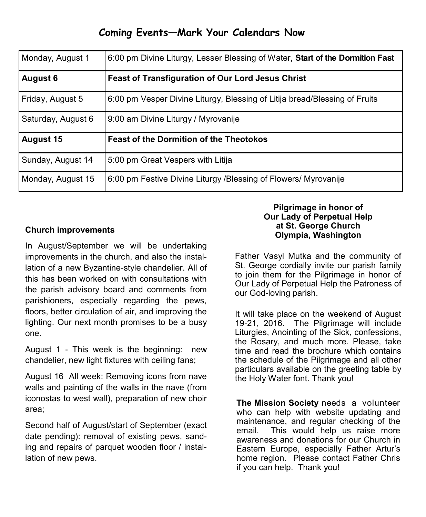# **Coming Events—Mark Your Calendars Now**

| Monday, August 1   | 6:00 pm Divine Liturgy, Lesser Blessing of Water, Start of the Dormition Fast |  |
|--------------------|-------------------------------------------------------------------------------|--|
| <b>August 6</b>    | Feast of Transfiguration of Our Lord Jesus Christ                             |  |
| Friday, August 5   | 6:00 pm Vesper Divine Liturgy, Blessing of Litija bread/Blessing of Fruits    |  |
| Saturday, August 6 | 9:00 am Divine Liturgy / Myrovanije                                           |  |
| <b>August 15</b>   | <b>Feast of the Dormition of the Theotokos</b>                                |  |
| Sunday, August 14  | 5:00 pm Great Vespers with Litija                                             |  |
| Monday, August 15  | 6:00 pm Festive Divine Liturgy /Blessing of Flowers/ Myrovanije               |  |

# **Church improvements**

In August/September we will be undertaking improvements in the church, and also the installation of a new Byzantine-style chandelier. All of this has been worked on with consultations with the parish advisory board and comments from parishioners, especially regarding the pews, floors, better circulation of air, and improving the lighting. Our next month promises to be a busy one.

August 1 - This week is the beginning: new chandelier, new light fixtures with ceiling fans;

August 16 All week: Removing icons from nave walls and painting of the walls in the nave (from iconostas to west wall), preparation of new choir area;

Second half of August/start of September (exact date pending): removal of existing pews, sanding and repairs of parquet wooden floor / installation of new pews.

## **Pilgrimage in honor of Our Lady of Perpetual Help at St. George Church Olympia, Washington**

Father Vasyl Mutka and the community of St. George cordially invite our parish family to join them for the Pilgrimage in honor of Our Lady of Perpetual Help the Patroness of our God-loving parish.

It will take place on the weekend of August 19-21, 2016. The Pilgrimage will include Liturgies, Anointing of the Sick, confessions, the Rosary, and much more. Please, take time and read the brochure which contains the schedule of the Pilgrimage and all other particulars available on the greeting table by the Holy Water font. Thank you!

**The Mission Society** needs a volunteer who can help with website updating and maintenance, and regular checking of the email. This would help us raise more awareness and donations for our Church in Eastern Europe, especially Father Artur's home region. Please contact Father Chris if you can help. Thank you!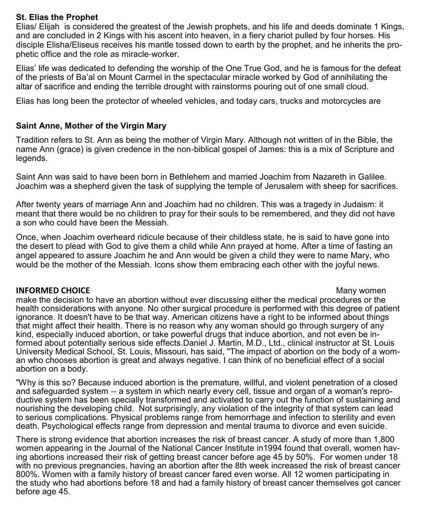## **St. Elias the Prophet**

Elias/ Elijah is considered the greatest of the Jewish prophets, and his life and deeds dominate 1 Kings, and are concluded in 2 Kings with his ascent into heaven, in a fiery chariot pulled by four horses. His disciple Elisha/Eliseus receives his mantle tossed down to earth by the prophet, and he inherits the prophetic office and the role as miracle-worker.

Elias' life was dedicated to defending the worship of the One True God, and he is famous for the defeat of the priests of Ba'al on Mount Carmel in the spectacular miracle worked by God of annihilating the altar of sacrifice and ending the terrible drought with rainstorms pouring out of one small cloud.

Elias has long been the protector of wheeled vehicles, and today cars, trucks and motorcycles are

## **Saint Anne, Mother of the Virgin Mary**

Tradition refers to St. Ann as being the mother of Virgin Mary. Although not written of in the Bible, the name Ann (grace) is given credence in the non-biblical gospel of James: this is a mix of Scripture and legends.

Saint Ann was said to have been born in Bethlehem and married Joachim from Nazareth in Galilee. Joachim was a shepherd given the task of supplying the temple of Jerusalem with sheep for sacrifices.

After twenty years of marriage Ann and Joachim had no children. This was a tragedy in Judaism: it meant that there would be no children to pray for their souls to be remembered, and they did not have a son who could have been the Messiah.

Once, when Joachim overheard ridicule because of their childless state, he is said to have gone into the desert to plead with God to give them a child while Ann prayed at home. After a time of fasting an angel appeared to assure Joachim he and Ann would be given a child they were to name Mary, who would be the mother of the Messiah. Icons show them embracing each other with the joyful news.

## **INFORMED CHOICE Many women**

make the decision to have an abortion without ever discussing either the medical procedures or the health considerations with anyone. No other surgical procedure is performed with this degree of patient ignorance. It doesn't have to be that way. American citizens have a right to be informed about things that might affect their health. There is no reason why any woman should go through surgery of any kind, especially induced abortion, or take powerful drugs that induce abortion, and not even be informed about potentially serious side effects.Daniel J. Martin, M.D., Ltd., clinical instructor at St. Louis University Medical School, St. Louis, Missouri, has said, "The impact of abortion on the body of a woman who chooses abortion is great and always negative. I can think of no beneficial effect of a social abortion on a body.

"Why is this so? Because induced abortion is the premature, willful, and violent penetration of a closed and safeguarded system -- a system in which nearly every cell, tissue and organ of a woman's reproductive system has been specially transformed and activated to carry out the function of sustaining and nourishing the developing child. Not surprisingly, any violation of the integrity of that system can lead to serious complications. Physical problems range from hemorrhage and infection to sterility and even death. Psychological effects range from depression and mental trauma to divorce and even suicide.

There is strong evidence that abortion increases the risk of breast cancer. A study of more than 1,800 women appearing in the Journal of the National Cancer Institute in1994 found that overall, women having abortions increased their risk of getting breast cancer before age 45 by 50%. For women under 18 with no previous pregnancies, having an abortion after the 8th week increased the risk of breast cancer 800%. Women with a family history of breast cancer fared even worse. All 12 women participating in the study who had abortions before 18 and had a family history of breast cancer themselves got cancer before age 45.